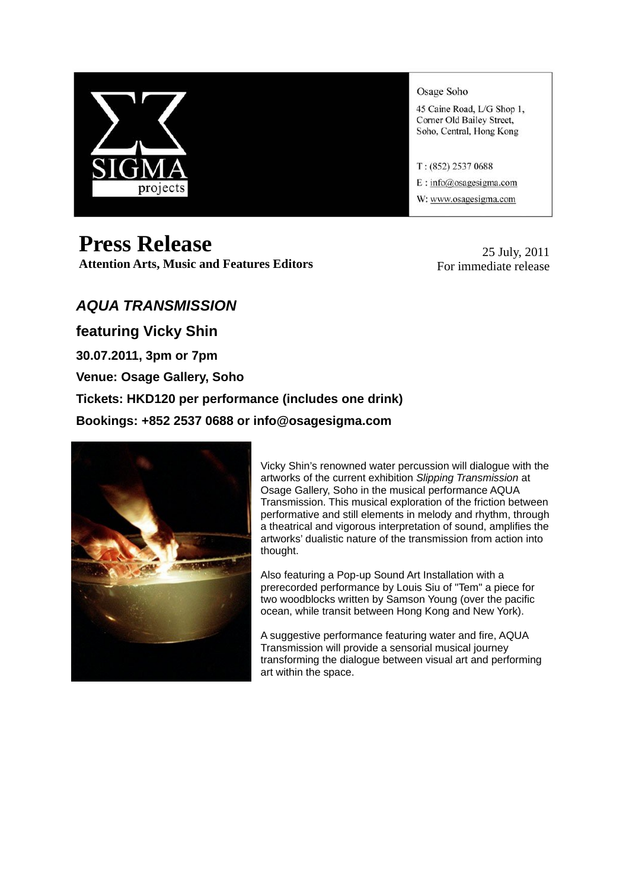

# **Press Release**

**Attention Arts, Music and Features Editors**

Osage Soho

45 Caine Road, L/G Shop 1, Corner Old Bailey Street, Soho, Central, Hong Kong

 $T: (852) 2537 0688$ 

E: info@osagesigma.com

W: www.osagesigma.com

25 July, 2011 For immediate release

# *AQUA TRANSMISSION*

**featuring Vicky Shin** 

**30.07.2011, 3pm or 7pm** 

**Venue: Osage Gallery, Soho** 

**Tickets: HKD120 per performance (includes one drink)** 

**Bookings: +852 2537 0688 or info@osagesigma.com** 



Vicky Shin's renowned water percussion will dialogue with the artworks of the current exhibition *Slipping Transmission* at Osage Gallery, Soho in the musical performance AQUA Transmission. This musical exploration of the friction between performative and still elements in melody and rhythm, through a theatrical and vigorous interpretation of sound, amplifies the artworks' dualistic nature of the transmission from action into thought.

Also featuring a Pop-up Sound Art Installation with a prerecorded performance by Louis Siu of "Tem" a piece for two woodblocks written by Samson Young (over the pacific ocean, while transit between Hong Kong and New York).

A suggestive performance featuring water and fire, AQUA Transmission will provide a sensorial musical journey transforming the dialogue between visual art and performing art within the space.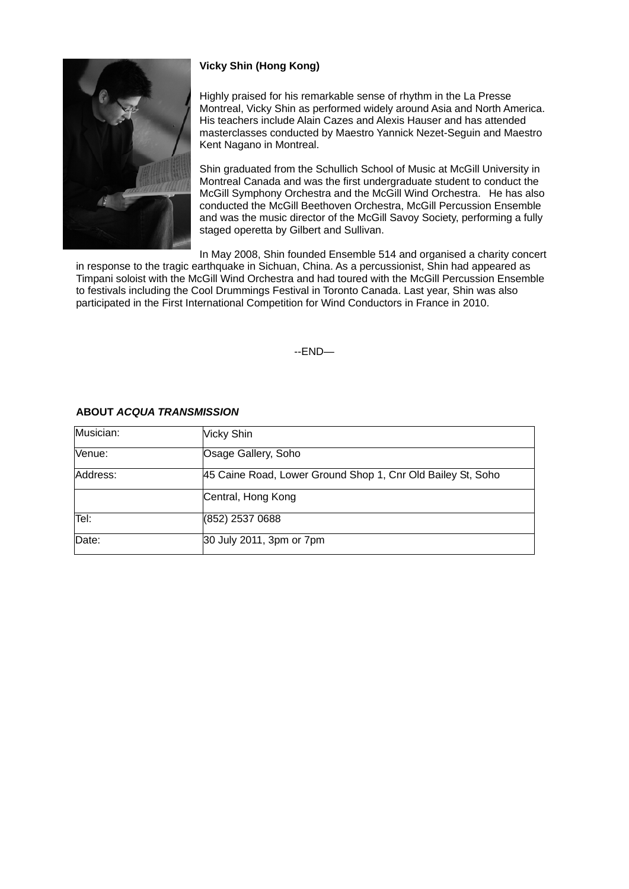

## **Vicky Shin (Hong Kong)**

Highly praised for his remarkable sense of rhythm in the La Presse Montreal, Vicky Shin as performed widely around Asia and North America. His teachers include Alain Cazes and Alexis Hauser and has attended masterclasses conducted by Maestro Yannick Nezet-Seguin and Maestro Kent Nagano in Montreal.

Shin graduated from the Schullich School of Music at McGill University in Montreal Canada and was the first undergraduate student to conduct the McGill Symphony Orchestra and the McGill Wind Orchestra. He has also conducted the McGill Beethoven Orchestra, McGill Percussion Ensemble and was the music director of the McGill Savoy Society, performing a fully staged operetta by Gilbert and Sullivan.

In May 2008, Shin founded Ensemble 514 and organised a charity concer t

in response to the tragic earthquake in Sichuan, China. As a percussionist, Shin had appeared as Timpani soloist with the McGill Wind Orchestra and had toured with the McGill Percussion Ensemble to festivals including the Cool Drummings Festival in Toronto Canada. Last year, Shin was also participated in the First International Competition for Wind Conductors in F rance in 2010.

--END—

| Musician: | Vicky Shin                                                  |
|-----------|-------------------------------------------------------------|
| Venue:    | Osage Gallery, Soho                                         |
| Address:  | 45 Caine Road, Lower Ground Shop 1, Cnr Old Bailey St, Soho |
|           | Central, Hong Kong                                          |
| Tel:      | (852) 2537 0688                                             |
| Date:     | 30 July 2011, 3pm or 7pm                                    |

## **ABOUT** *ACQUA TRANSMISSION*